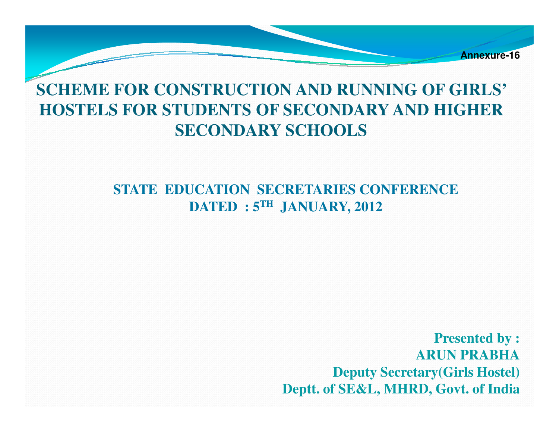

#### **SCHEME FOR CONSTRUCTION AND RUNNING OF GIRLS' HOSTELS FOR STUDENTS OF SECONDARY AND HIGHER SECONDARY SCHOOLS**

**STATE EDUCATION SECRETARIES CONFERENCE DATED : 5TH JANUARY, 2012**

> **Presented by :ARUN PRABHA Deputy Secretary(Girls Hostel)Deptt. of SE&L, MHRD, Govt. of India**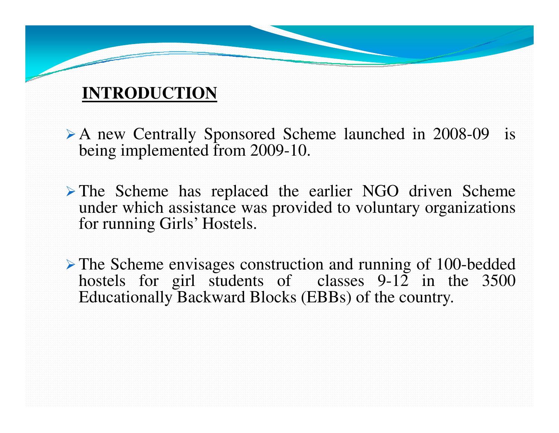#### **INTRODUCTION**

- A new Centrally Sponsored Scheme launched in 2008-09 is<br>being implemented from 2009 10 being implemented from 2009-10.
- $\triangleright$  The Scheme has replaced the earlier NGO driven Scheme under which assistance was provided to voluntary organizations for running Girls' Hostels.
- The Scheme envisages construction and running of 100-bedded<br>hostels for girl students of classes 0.12 in the 3500 hostels for girl students of classes 9-12 in the 3500 Educationally Backward Blocks (EBBs) of the country.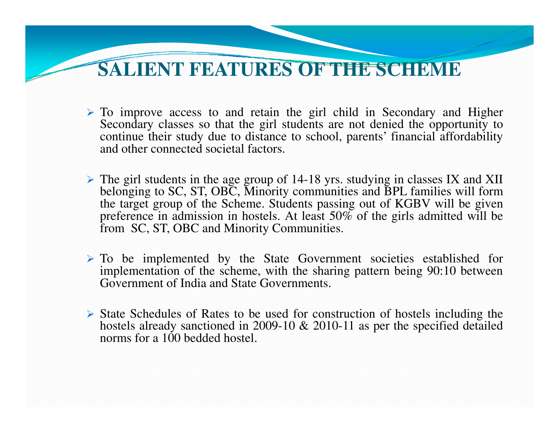#### **SALIENT FEATURES OF THE SCHEME**

- $\triangleright$  To improve access to and retain the girl child in Secondary and Higher Secondary classes so that the girl students are not denied the opportunity to continue their study due to distance to school, parents' financial affordabilityand other connected societal factors.
- $\triangleright$  The girl students in the age group of 14-18 yrs. studying in classes IX and XII halonging to SC ST OBC. Minority communities and BDI families will form belonging to SC, ST, OBC, Minority communities and BPL families will form the target group of the Scheme. Students passing out of KGBV will be givenpreference in admission in hostels. At least 50% of the girls admitted will be<br>from SC, ST, OBC and Minority Communities.
- $\triangleright$  To be implemented by the State Government societies established for implementation of the scheme with the sharing pattern being  $90:10$  between implementation of the scheme, with the sharing pattern being 90:10 betweenGovernment of India and State Governments.
- State Schedules of Rates to be used for construction of hostels including the<br>hostels already sanctioned in 2000, 10  $\ell_5$ , 2010, 11 as per the specified detailed hostels already sanctioned in 2009-10 & 2010-11 as per the specified detailed norms for a 100 bedded hostel.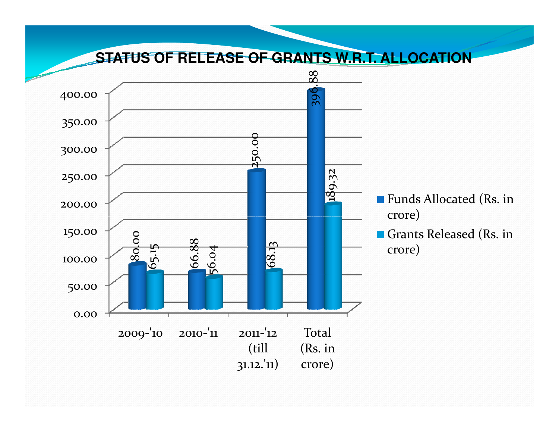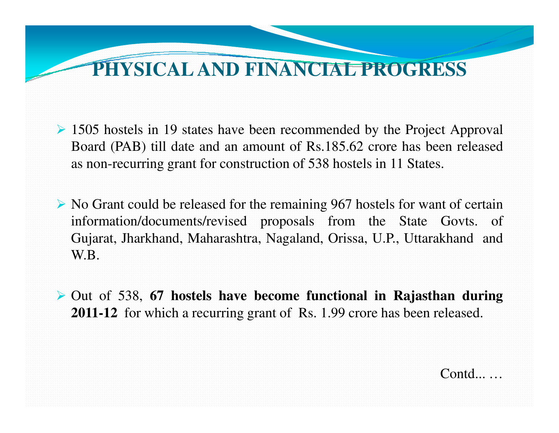### **PHYSICAL AND FINANCIAL PROGRESS**

- $\geq$  1505 hostels in 19 states have been recommended by the Project Approval Board (PAB) till date and an amount of Rs.185.62 crore has been releasedas non-recurring gran<sup>t</sup> for construction of 538 hostels in 11 States.
- $\triangleright$  No Grant could be released for the remaining 967 hostels for want of certain information/documents/revised proposals from the State Govts. of Gujarat, Jharkhand, Maharashtra, Nagaland, Orissa, U.P., Uttarakhand andW.B.
- Out of 538, **<sup>67</sup> hostels have become functional in Rajasthan during 2011-12** for which <sup>a</sup> recurring gran<sup>t</sup> of Rs. 1.99 crore has been released.

Contd...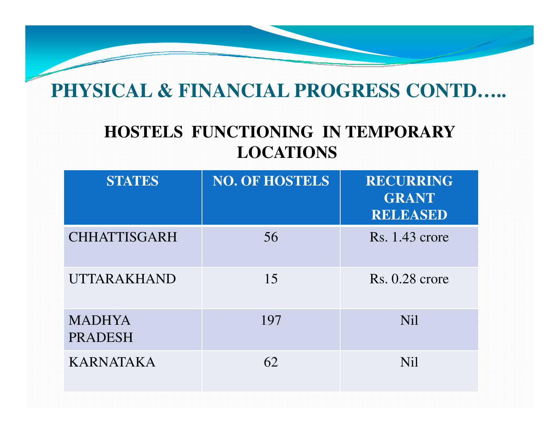### **PHYSICAL & FINANCIAL PROGRESS CONTD…..**

#### **HOSTELS FUNCTIONING IN TEMPORARY LOCATIONS**

| <b>STATES</b>                   | <b>NO. OF HOSTELS</b> | <b>RECURRING</b><br><b>GRANT</b><br><b>RELEASED</b> |
|---------------------------------|-----------------------|-----------------------------------------------------|
| <b>CHHATTISGARH</b>             | 56                    | Rs. 1.43 crore                                      |
| <b>UTTARAKHAND</b>              | 15                    | $Rs. 0.28$ crore                                    |
| <b>MADHYA</b><br><b>PRADESH</b> | 197                   | <b>Nil</b>                                          |
| <b>KARNATAKA</b>                | 62                    | <b>Nil</b>                                          |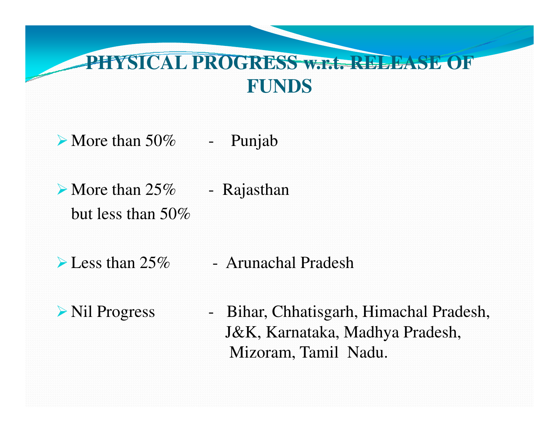### **PHYSICAL PROGRESS w.r.t. RELEASE OF FUNDS**

 $\triangleright$  More than 50% - Punjab

 $\triangleright$  More than 25% - Rajasthan but less than 50%

 $\triangle$  Less than 25% - Arunachal Pradesh

Nil Progress - Bihar, Chhatisgarh, Himachal Pradesh, J&K, Karnataka, Madhya Pradesh, Mizoram, Tamil Nadu.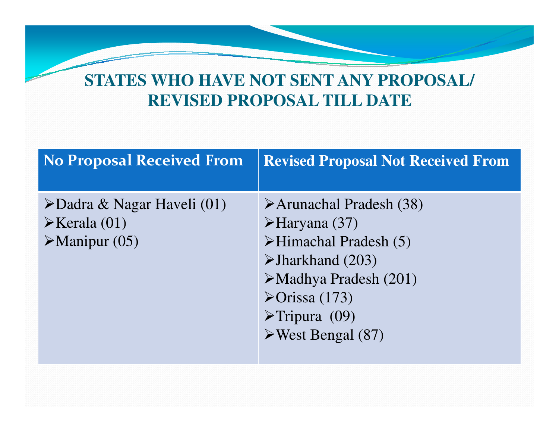#### **STATES WHO HAVE NOT SENT ANY PROPOSAL/ REVISED PROPOSAL TILL DATE**

| <b>No Proposal Received From</b>                                                                       | <b>Revised Proposal Not Received From</b>                                                                                                                                                                                                                                                           |
|--------------------------------------------------------------------------------------------------------|-----------------------------------------------------------------------------------------------------------------------------------------------------------------------------------------------------------------------------------------------------------------------------------------------------|
| $\triangle$ Dadra & Nagar Haveli (01)<br>$\triangleright$ Kerala (01)<br>$\triangleright$ Manipur (05) | Arunachal Pradesh (38)<br>$\blacktriangleright$ Haryana (37)<br>$\triangleright$ Himachal Pradesh (5)<br>$\blacktriangleright$ Jharkhand (203)<br>$\triangleright$ Madhya Pradesh (201)<br>$\blacktriangleright$ Orissa (173)<br>$\triangleright$ Tripura (09)<br>$\triangleright$ West Bengal (87) |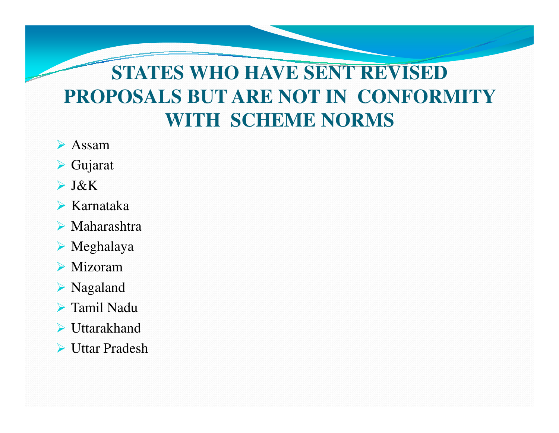## **STATES WHO HAVE SENT REVISED PROPOSALS BUT ARE NOT IN CONFORMITY WITH SCHEME NORMS**

- Assam
- Gujarat
- J&K
- Karnataka
- Maharashtra
- Meghalaya
- Mizoram
- Nagaland
- Tamil Nadu
- Uttarakhand
- Uttar Pradesh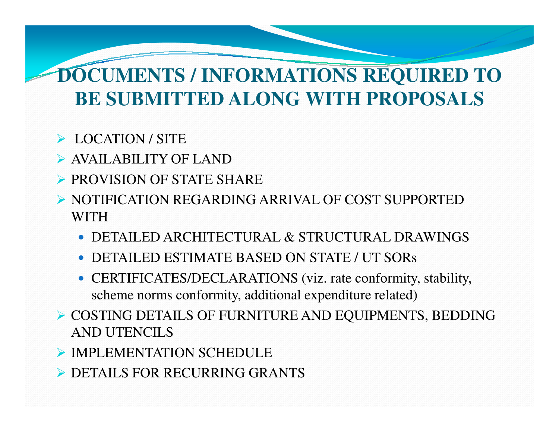### **DOCUMENTS / INFORMATIONS REQUIRED TO BE SUBMITTED ALONG WITH PROPOSALS**

## LOCATION / SITE

- AVAILABILITY OF LAND
- PROVISION OF STATE SHARE
- NOTIFICATION REGARDING ARRIVAL OF COST SUPPORTED WITH
	- DETAILED ARCHITECTURAL & STRUCTURAL DRAWINGS
	- $\bullet$ DETAILED ESTIMATE BASED ON STATE / UT SORs
	- CERTIFICATES/DECLARATIONS (viz. rate conformity, stability, scheme norms conformity, additional expenditure related)
- COSTING DETAILS OF FURNITURE AND EQUIPMENTS, BEDDING AND UTENCILS
- $\blacktriangleright$  IMPLEMENTATION SCHEDULE
- DETAILS FOR RECURRING GRANTS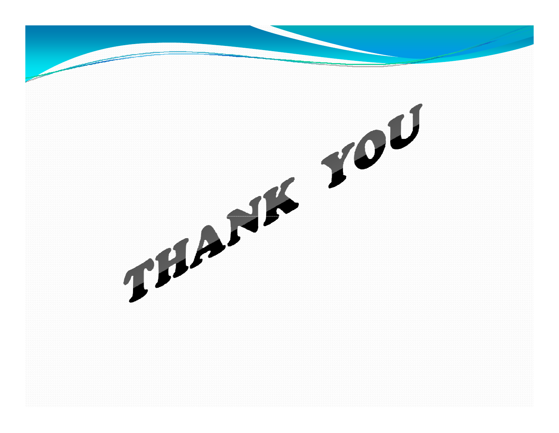